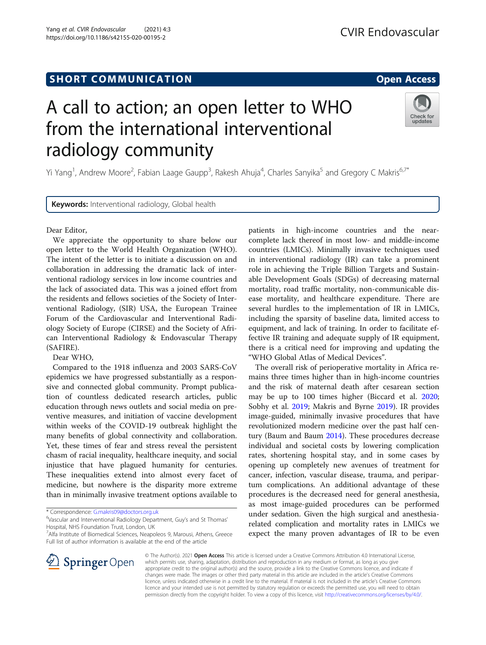# **SHORT COMMUNICATION COMMUNICATION**

https://doi.org/10.1186/s42155-020-00195-2

# A call to action; an open letter to WHO from the international interventional radiology community



Yi Yang<sup>1</sup>, Andrew Moore<sup>2</sup>, Fabian Laage Gaupp<sup>3</sup>, Rakesh Ahuja<sup>4</sup>, Charles Sanyika<sup>5</sup> and Gregory C Makris<sup>6,7\*</sup>

Keywords: Interventional radiology, Global health

Dear Editor,

We appreciate the opportunity to share below our open letter to the World Health Organization (WHO). The intent of the letter is to initiate a discussion on and collaboration in addressing the dramatic lack of interventional radiology services in low income countries and the lack of associated data. This was a joined effort from the residents and fellows societies of the Society of Interventional Radiology, (SIR) USA, the European Trainee Forum of the Cardiovascular and Interventional Radiology Society of Europe (CIRSE) and the Society of African Interventional Radiology & Endovascular Therapy (SAFIRE).

Dear WHO,

Compared to the 1918 influenza and 2003 SARS-CoV epidemics we have progressed substantially as a responsive and connected global community. Prompt publication of countless dedicated research articles, public education through news outlets and social media on preventive measures, and initiation of vaccine development within weeks of the COVID-19 outbreak highlight the many benefits of global connectivity and collaboration. Yet, these times of fear and stress reveal the persistent chasm of racial inequality, healthcare inequity, and social injustice that have plagued humanity for centuries. These inequalities extend into almost every facet of medicine, but nowhere is the disparity more extreme than in minimally invasive treatment options available to

Vascular and Interventional Radiology Department, Guy's and St Thomas' Hospital, NHS Foundation Trust, London, UK

<sup>7</sup> Alfa Institute of Biomedical Sciences, Neapoleos 9, Marousi, Athens, Greece Full list of author information is available at the end of the article

patients in high-income countries and the nearcomplete lack thereof in most low- and middle-income countries (LMICs). Minimally invasive techniques used in interventional radiology (IR) can take a prominent role in achieving the Triple Billion Targets and Sustainable Development Goals (SDGs) of decreasing maternal mortality, road traffic mortality, non-communicable disease mortality, and healthcare expenditure. There are several hurdles to the implementation of IR in LMICs, including the sparsity of baseline data, limited access to equipment, and lack of training. In order to facilitate effective IR training and adequate supply of IR equipment, there is a critical need for improving and updating the "WHO Global Atlas of Medical Devices".

The overall risk of perioperative mortality in Africa remains three times higher than in high-income countries and the risk of maternal death after cesarean section may be up to 100 times higher (Biccard et al. [2020](#page-2-0); Sobhy et al. [2019;](#page-2-0) Makris and Byrne [2019\)](#page-2-0). IR provides image-guided, minimally invasive procedures that have revolutionized modern medicine over the past half century (Baum and Baum [2014](#page-2-0)). These procedures decrease individual and societal costs by lowering complication rates, shortening hospital stay, and in some cases by opening up completely new avenues of treatment for cancer, infection, vascular disease, trauma, and peripartum complications. An additional advantage of these procedures is the decreased need for general anesthesia, as most image-guided procedures can be performed under sedation. Given the high surgical and anesthesiarelated complication and mortality rates in LMICs we expect the many proven advantages of IR to be even



© The Author(s). 2021 Open Access This article is licensed under a Creative Commons Attribution 4.0 International License, which permits use, sharing, adaptation, distribution and reproduction in any medium or format, as long as you give appropriate credit to the original author(s) and the source, provide a link to the Creative Commons licence, and indicate if changes were made. The images or other third party material in this article are included in the article's Creative Commons licence, unless indicated otherwise in a credit line to the material. If material is not included in the article's Creative Commons licence and your intended use is not permitted by statutory regulation or exceeds the permitted use, you will need to obtain permission directly from the copyright holder. To view a copy of this licence, visit <http://creativecommons.org/licenses/by/4.0/>.

<sup>\*</sup> Correspondence: [G.makris09@doctors.org.uk](mailto:G.makris09@doctors.org.uk) <sup>6</sup>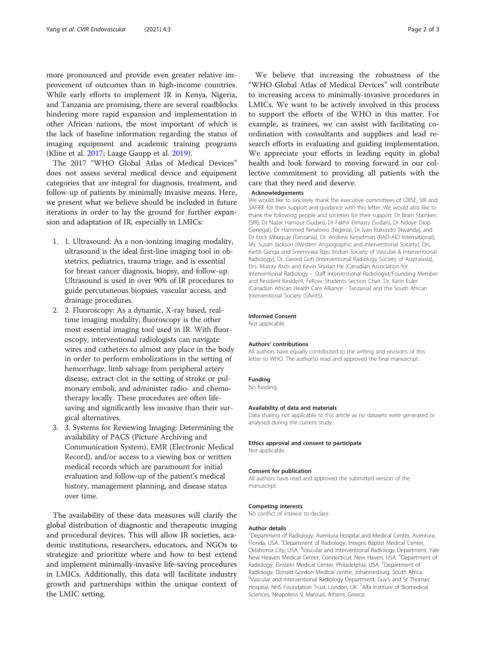more pronounced and provide even greater relative improvement of outcomes than in high-income countries. While early efforts to implement IR in Kenya, Nigeria, and Tanzania are promising, there are several roadblocks hindering more rapid expansion and implementation in other African nations, the most important of which is the lack of baseline information regarding the status of imaging equipment and academic training programs (Kline et al. [2017](#page-2-0); Laage Gaupp et al. [2019](#page-2-0)).

The 2017 "WHO Global Atlas of Medical Devices" does not assess several medical device and equipment categories that are integral for diagnosis, treatment, and follow-up of patients by minimally invasive means. Here, we present what we believe should be included in future iterations in order to lay the ground for further expansion and adaptation of IR, especially in LMICs:

- 1. 1. Ultrasound: As a non-ionizing imaging modality, ultrasound is the ideal first-line imaging tool in obstetrics, pediatrics, trauma triage, and is essential for breast cancer diagnosis, biopsy, and follow-up. Ultrasound is used in over 90% of IR procedures to guide percutaneous biopsies, vascular access, and drainage procedures.
- 2. 2. Fluoroscopy: As a dynamic, X-ray based, realtime imaging modality, fluoroscopy is the other most essential imaging tool used in IR. With fluoroscopy, interventional radiologists can navigate wires and catheters to almost any place in the body in order to perform embolizations in the setting of hemorrhage, limb salvage from peripheral artery disease, extract clot in the setting of stroke or pulmonary emboli, and administer radio- and chemotherapy locally. These procedures are often lifesaving and significantly less invasive than their surgical alternatives.
- 3. 3. Systems for Reviewing Imaging: Determining the availability of PACS (Picture Archiving and Communication System), EMR (Electronic Medical Record), and/or access to a viewing box or written medical records which are paramount for initial evaluation and follow-up of the patient's medical history, management planning, and disease status over time.

The availability of these data measures will clarify the global distribution of diagnostic and therapeutic imaging and procedural devices. This will allow IR societies, academic institutions, researchers, educators, and NGOs to strategize and prioritize where and how to best extend and implement minimally-invasive life-saving procedures in LMICs. Additionally, this data will facilitate industry growth and partnerships within the unique context of the LMIC setting.

We believe that increasing the robustness of the "WHO Global Atlas of Medical Devices" will contribute to increasing access to minimally-invasive procedures in LMICs. We want to be actively involved in this process to support the efforts of the WHO in this matter. For example, as trainees, we can assist with facilitating coordination with consultants and suppliers and lead research efforts in evaluating and guiding implementation. We appreciate your efforts in leading equity in global health and look forward to moving forward in our collective commitment to providing all patients with the care that they need and deserve.

#### Acknowledgements

We would like to sincerely thank the executive committees of CIRSE, SIR and SAFIRE for their support and guidance with this letter. We would also like to thank the following people and societies for their support: Dr Brain Stainken (SIR), Dr Nazar Hamour (Sudan), Dr Fakhir Elmasry (Sudan), Dr Ndoye Diop (Senegal), Dr Hammed Ninalowo (Nigeria), Dr Ivan Rukundo (Rwanda), and Dr Erick Mbuguje (Tanzania), Dr. Andrew Kesselman (RAD-AID International), Ms. Susan Jackson (Western Angiographic and Interventional Society), Drs. Kartik Ganga and Sreenivasa Raju (Indian Society of Vascular & Interventional Radiology), Dr. Gerard Goh (Interventional Radiology Society of Australasia), Drs. Murray Asch and Kevin Shixiao He (Canadian Association for Interventional Radiology – Staff Interventional Radiologist/Founding Member and Resident Resident, Fellow, Students Section Chair, Dr. Karin Euler (Canadian African Health Care Alliance - Tanzania) and the South African Interventional Society (SAintS).

#### Informed Consent

Not applicable.

#### Authors' contributions

All authors have equally contributed to the writing and revisions of this letter to WHO. The author(s) read and approved the final manuscript.

#### Funding

No funding.

#### Availability of data and materials

Data sharing not applicable to this article as no datasets were generated or analysed during the current study.

#### Ethics approval and consent to participate

Not applicable.

#### Consent for publication

All authors have read and approved the submitted version of the manuscript.

#### Competing interests

No conflict of interest to declare.

#### Author details

<sup>1</sup>Department of Radiology, Aventura Hospital and Medical Center, Aventura, Florida, USA. <sup>2</sup>Department of Radiology, Integris Baptist Medical Center, Oklahoma City, USA. <sup>3</sup>Vascular and Interventional Radiology Department, Yale New Heaven Medical Center, Connecticut, New Haven, USA. <sup>4</sup>Department of Radiology, Einstein Medical Center, Philadelphia, USA. <sup>5</sup>Department of Radiology, Donald Gordon Medical centre, Johannesburg, South Africa. 6 Vascular and Interventional Radiology Department, Guy's and St Thomas' Hospital, NHS Foundation Trust, London, UK. <sup>7</sup>Alfa Institute of Biomedical Sciences, Neapoleos 9, Marousi, Athens, Greece.